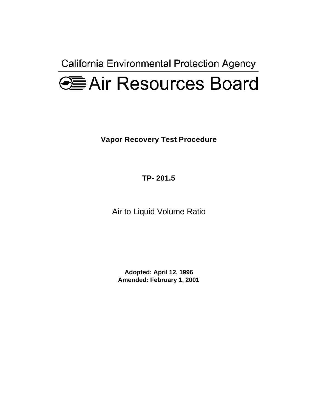California Environmental Protection Agency



**Vapor Recovery Test Procedure** 

**TP- 201.5** 

Air to Liquid Volume Ratio

**Adopted: April 12, 1996 Amended: February 1, 2001**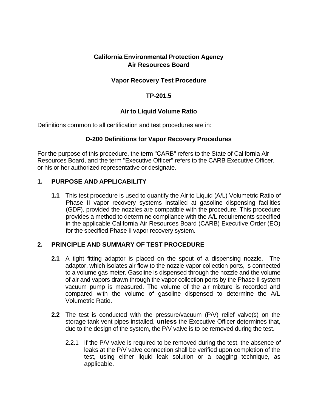# **California Environmental Protection Agency Air Resources Board**

# **Vapor Recovery Test Procedure**

### **TP-201.5**

### **Air to Liquid Volume Ratio**

Definitions common to all certification and test procedures are in:

### **D-200 Definitions for Vapor Recovery Procedures**

For the purpose of this procedure, the term "CARB" refers to the State of California Air Resources Board, and the term "Executive Officer" refers to the CARB Executive Officer, or his or her authorized representative or designate.

### **1. PURPOSE AND APPLICABILITY**

**1.1** This test procedure is used to quantify the Air to Liquid (A/L) Volumetric Ratio of Phase II vapor recovery systems installed at gasoline dispensing facilities (GDF), provided the nozzles are compatible with the procedure. This procedure provides a method to determine compliance with the A/L requirements specified in the applicable California Air Resources Board (CARB) Executive Order (EO) for the specified Phase II vapor recovery system.

### **2. PRINCIPLE AND SUMMARY OF TEST PROCEDURE**

- **2.1** A tight fitting adaptor is placed on the spout of a dispensing nozzle. The adaptor, which isolates air flow to the nozzle vapor collection ports, is connected to a volume gas meter. Gasoline is dispensed through the nozzle and the volume of air and vapors drawn through the vapor collection ports by the Phase II system vacuum pump is measured. The volume of the air mixture is recorded and compared with the volume of gasoline dispensed to determine the A/L Volumetric Ratio.
- **2.2** The test is conducted with the pressure/vacuum (P/V) relief valve(s) on the storage tank vent pipes installed, **unless** the Executive Officer determines that, due to the design of the system, the P/V valve is to be removed during the test.
	- 2.2.1 If the P/V valve is required to be removed during the test, the absence of leaks at the P/V valve connection shall be verified upon completion of the test, using either liquid leak solution or a bagging technique, as applicable.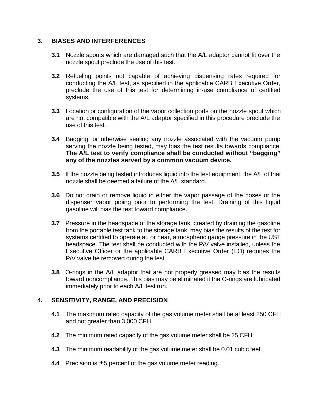# **3. BIASES AND INTERFERENCES**

- **3.1** Nozzle spouts which are damaged such that the A/L adaptor cannot fit over the nozzle spout preclude the use of this test.
- **3.2** Refueling points not capable of achieving dispensing rates required for conducting the A/L test, as specified in the applicable CARB Executive Order, preclude the use of this test for determining in-use compliance of certified systems.
- **3.3** Location or configuration of the vapor collection ports on the nozzle spout which are not compatible with the A/L adaptor specified in this procedure preclude the use of this test.
- **3.4** Bagging, or otherwise sealing any nozzle associated with the vacuum pump serving the nozzle being tested, may bias the test results towards compliance. **The A/L test to verify compliance shall be conducted without "bagging" any of the nozzles served by a common vacuum device.**
- **3.5** If the nozzle being tested introduces liquid into the test equipment, the A/L of that nozzle shall be deemed a failure of the A/L standard.
- **3.6** Do not drain or remove liquid in either the vapor passage of the hoses or the dispenser vapor piping prior to performing the test. Draining of this liquid gasoline will bias the test toward compliance.
- **3.7** Pressure in the headspace of the storage tank, created by draining the gasoline from the portable test tank to the storage tank, may bias the results of the test for systems certified to operate at, or near, atmospheric gauge pressure in the UST headspace. The test shall be conducted with the P/V valve installed, unless the Executive Officer or the applicable CARB Executive Order (EO) requires the P/V valve be removed during the test.
- **3.8** O-rings in the A/L adaptor that are not properly greased may bias the results toward noncompliance. This bias may be eliminated if the O-rings are lubricated immediately prior to each A/L test run.

### **4. SENSITIVITY, RANGE, AND PRECISION**

- **4.1** The maximum rated capacity of the gas volume meter shall be at least 250 CFH and not greater than 3,000 CFH.
- **4.2** The minimum rated capacity of the gas volume meter shall be 25 CFH.
- **4.3** The minimum readability of the gas volume meter shall be 0.01 cubic feet.
- **4.4** Precision is ± 5 percent of the gas volume meter reading.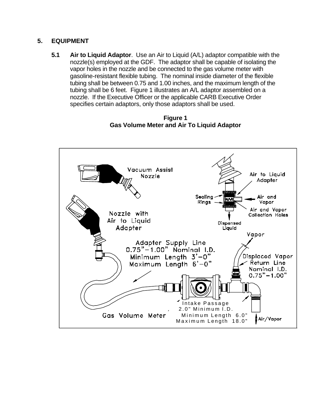# **5. EQUIPMENT**

**5.1 Air to Liquid Adaptor**. Use an Air to Liquid (A/L) adaptor compatible with the nozzle(s) employed at the GDF. The adaptor shall be capable of isolating the vapor holes in the nozzle and be connected to the gas volume meter with gasoline-resistant flexible tubing. The nominal inside diameter of the flexible tubing shall be between 0.75 and 1.00 inches, and the maximum length of the tubing shall be 6 feet. Figure 1 illustrates an A/L adaptor assembled on a nozzle. If the Executive Officer or the applicable CARB Executive Order specifies certain adaptors, only those adaptors shall be used.

**Figure 1 Gas Volume Meter and Air To Liquid Adaptor** 

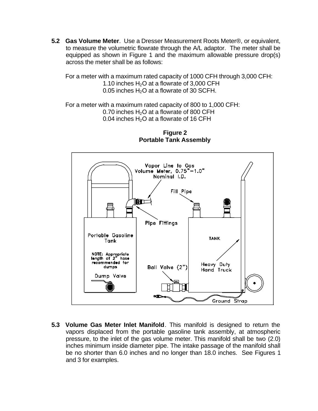**5.2 Gas Volume Meter**. Use a Dresser Measurement Roots Meter®, or equivalent, to measure the volumetric flowrate through the A/L adaptor. The meter shall be equipped as shown in Figure 1 and the maximum allowable pressure drop(s) across the meter shall be as follows:

For a meter with a maximum rated capacity of 1000 CFH through 3,000 CFH: 1.10 inches  $H_2O$  at a flowrate of 3,000 CFH 0.05 inches  $H_2O$  at a flowrate of 30 SCFH.

For a meter with a maximum rated capacity of 800 to 1,000 CFH: 0.70 inches  $H_2O$  at a flowrate of 800 CFH 0.04 inches  $H_2O$  at a flowrate of 16 CFH



**Figure 2 Portable Tank Assembly** 

**5.3 Volume Gas Meter Inlet Manifold**. This manifold is designed to return the vapors displaced from the portable gasoline tank assembly, at atmospheric pressure, to the inlet of the gas volume meter. This manifold shall be two (2.0) inches minimum inside diameter pipe. The intake passage of the manifold shall be no shorter than 6.0 inches and no longer than 18.0 inches. See Figures 1 and 3 for examples.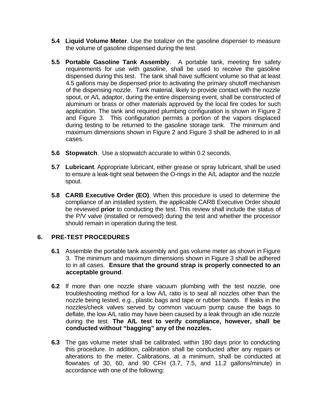- **5.4 Liquid Volume Meter**. Use the totalizer on the gasoline dispenser to measure the volume of gasoline dispensed during the test.
- **5.5 Portable Gasoline Tank Assembly**. A portable tank, meeting fire safety requirements for use with gasoline, shall be used to receive the gasoline dispensed during this test. The tank shall have sufficient volume so that at least 4.5 gallons may be dispensed prior to activating the primary shutoff mechanism of the dispensing nozzle. Tank material, likely to provide contact with the nozzle spout, or A/L adaptor, during the entire dispensing event, shall be constructed of aluminum or brass or other materials approved by the local fire codes for such application. The tank and required plumbing configuration is shown in Figure 2 and Figure 3. This configuration permits a portion of the vapors displaced during testing to be returned to the gasoline storage tank. The minimum and maximum dimensions shown in Figure 2 and Figure 3 shall be adhered to in all cases.
- **5.6 Stopwatch**. Use a stopwatch accurate to within 0.2 seconds.
- **5.7 Lubricant**. Appropriate lubricant, either grease or spray lubricant, shall be used to ensure a leak-tight seal between the O-rings in the A/L adaptor and the nozzle spout.
- **5.8 CARB Executive Order (EO)**. When this procedure is used to determine the compliance of an installed system, the applicable CARB Executive Order should be reviewed **prior** to conducting the test. This review shall include the status of the P/V valve (installed or removed) during the test and whether the processor should remain in operation during the test.

### **6. PRE-TEST PROCEDURES**

- **6.1** Assemble the portable tank assembly and gas volume meter as shown in Figure 3. The minimum and maximum dimensions shown in Figure 3 shall be adhered to in all cases. **Ensure that the ground strap is properly connected to an acceptable ground**.
- nozzle being tested, e.g., plastic bags and tape or rubber bands. If leaks in the **6.2** If more than one nozzle share vacuum plumbing with the test nozzle, one troubleshooting method for a low A/L ratio is to seal all nozzles other than the nozzles/check valves served by common vacuum pump cause the bags to deflate, the low A/L ratio may have been caused by a leak through an idle nozzle during the test. **The A/L test to verify compliance, however, shall be conducted without "bagging" any of the nozzles.**
- **6.3** The gas volume meter shall be calibrated, within 180 days prior to conducting this procedure. In addition, calibration shall be conducted after any repairs or alterations to the meter. Calibrations, at a minimum, shall be conducted at flowrates of 30, 60, and 90 CFH (3.7, 7.5, and 11.2 gallons/minute) in accordance with one of the following: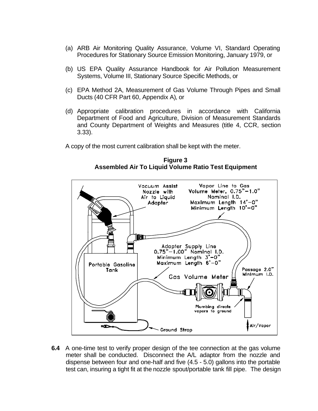- (a) ARB Air Monitoring Quality Assurance, Volume VI, Standard Operating Procedures for Stationary Source Emission Monitoring, January 1979, or
- (b) US EPA Quality Assurance Handbook for Air Pollution Measurement Systems, Volume III, Stationary Source Specific Methods, or
- (c) EPA Method 2A, Measurement of Gas Volume Through Pipes and Small Ducts (40 CFR Part 60, Appendix A), or
- (d) Appropriate calibration procedures in accordance with California Department of Food and Agriculture, Division of Measurement Standards and County Department of Weights and Measures (title 4, CCR, section 3.33).

A copy of the most current calibration shall be kept with the meter.



**Figure 3 Assembled Air To Liquid Volume Ratio Test Equipment** 

**6.4** A one-time test to verify proper design of the tee connection at the gas volume meter shall be conducted. Disconnect the A/L adaptor from the nozzle and dispense between four and one-half and five (4.5 - 5.0) gallons into the portable test can, insuring a tight fit at the nozzle spout/portable tank fill pipe. The design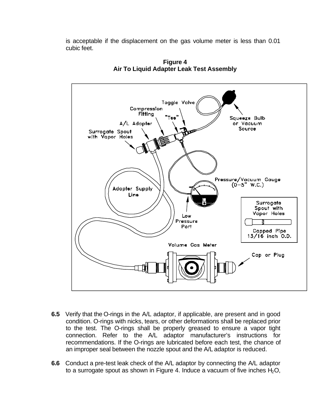is acceptable if the displacement on the gas volume meter is less than 0.01 cubic feet.



**Figure 4 Air To Liquid Adapter Leak Test Assembly** 

- **6.5** Verify that the O-rings in the A/L adaptor, if applicable, are present and in good condition. O-rings with nicks, tears, or other deformations shall be replaced prior to the test. The O-rings shall be properly greased to ensure a vapor tight connection. Refer to the A/L adaptor manufacturer's instructions for recommendations. If the O-rings are lubricated before each test, the chance of an improper seal between the nozzle spout and the A/L adaptor is reduced.
- **6.6** Conduct a pre-test leak check of the A/L adaptor by connecting the A/L adaptor to a surrogate spout as shown in Figure 4. Induce a vacuum of five inches  $H_2O$ ,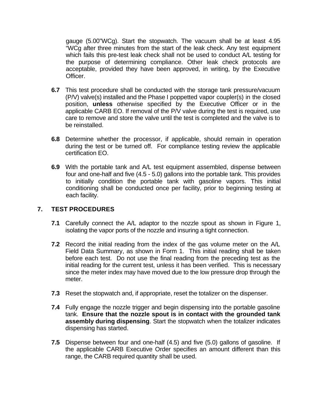gauge (5.00"WCg). Start the stopwatch. The vacuum shall be at least 4.95 "WCg after three minutes from the start of the leak check. Any test equipment which fails this pre-test leak check shall not be used to conduct A/L testing for the purpose of determining compliance. Other leak check protocols are acceptable, provided they have been approved, in writing, by the Executive Officer.

- **6.7** This test procedure shall be conducted with the storage tank pressure/vacuum (P/V) valve(s) installed and the Phase I poppetted vapor coupler(s) in the closed position, **unless** otherwise specified by the Executive Officer or in the applicable CARB EO. If removal of the P/V valve during the test is required, use care to remove and store the valve until the test is completed and the valve is to be reinstalled.
- **6.8** Determine whether the processor, if applicable, should remain in operation during the test or be turned off. For compliance testing review the applicable certification EO.
- **6.9** With the portable tank and A/L test equipment assembled, dispense between four and one-half and five (4.5 - 5.0) gallons into the portable tank. This provides to initially condition the portable tank with gasoline vapors. This initial conditioning shall be conducted once per facility, prior to beginning testing at each facility.

### **7. TEST PROCEDURES**

- **7.1** Carefully connect the A/L adaptor to the nozzle spout as shown in Figure 1, isolating the vapor ports of the nozzle and insuring a tight connection.
- **7.2** Record the initial reading from the index of the gas volume meter on the A/L Field Data Summary, as shown in Form 1. This initial reading shall be taken before each test. Do not use the final reading from the preceding test as the initial reading for the current test, unless it has been verified. This is necessary since the meter index may have moved due to the low pressure drop through the meter.
- **7.3** Reset the stopwatch and, if appropriate, reset the totalizer on the dispenser.
- **7.4** Fully engage the nozzle trigger and begin dispensing into the portable gasoline tank. **Ensure that the nozzle spout is in contact with the grounded tank assembly during dispensing**. Start the stopwatch when the totalizer indicates dispensing has started.
- **7.5** Dispense between four and one-half (4.5) and five (5.0) gallons of gasoline. If the applicable CARB Executive Order specifies an amount different than this range, the CARB required quantity shall be used.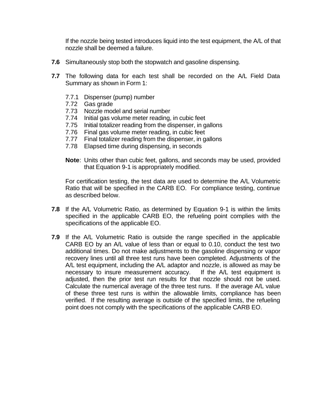If the nozzle being tested introduces liquid into the test equipment, the A/L of that nozzle shall be deemed a failure.

- **7.6** Simultaneously stop both the stopwatch and gasoline dispensing.
- **7.7** The following data for each test shall be recorded on the A/L Field Data Summary as shown in Form 1:
	- 7.7.1 Dispenser (pump) number
	- 7.72 Gas grade
	- 7.73 Nozzle model and serial number
	- 7.74 Initial gas volume meter reading, in cubic feet
	- 7.75 Initial totalizer reading from the dispenser, in gallons
	- 7.76 Final gas volume meter reading, in cubic feet
	- 7.77 Final totalizer reading from the dispenser, in gallons
	- 7.78 Elapsed time during dispensing, in seconds
	- **Note**: Units other than cubic feet, gallons, and seconds may be used, provided that Equation 9-1 is appropriately modified.

For certification testing, the test data are used to determine the A/L Volumetric Ratio that will be specified in the CARB EO. For compliance testing, continue as described below.

- **7.8** If the A/L Volumetric Ratio, as determined by Equation 9-1 is within the limits specified in the applicable CARB EO, the refueling point complies with the specifications of the applicable EO.
- **7.9** If the A/L Volumetric Ratio is outside the range specified in the applicable CARB EO by an A/L value of less than or equal to 0.10, conduct the test two additional times. Do not make adjustments to the gasoline dispensing or vapor recovery lines until all three test runs have been completed. Adjustments of the A/L test equipment, including the A/L adaptor and nozzle, is allowed as may be necessary to insure measurement accuracy. If the A/L test equipment is adjusted, then the prior test run results for that nozzle should not be used. Calculate the numerical average of the three test runs. If the average A/L value of these three test runs is within the allowable limits, compliance has been verified. If the resulting average is outside of the specified limits, the refueling point does not comply with the specifications of the applicable CARB EO.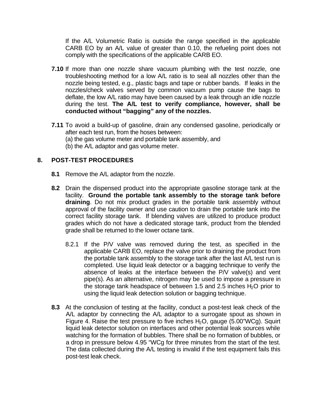If the A/L Volumetric Ratio is outside the range specified in the applicable CARB EO by an A/L value of greater than 0.10, the refueling point does not comply with the specifications of the applicable CARB EO.

- nozzle being tested, e.g., plastic bags and tape or rubber bands. If leaks in the **7.10** If more than one nozzle share vacuum plumbing with the test nozzle, one troubleshooting method for a low A/L ratio is to seal all nozzles other than the nozzles/check valves served by common vacuum pump cause the bags to deflate, the low A/L ratio may have been caused by a leak through an idle nozzle during the test. **The A/L test to verify compliance, however, shall be conducted without "bagging" any of the nozzles.**
- **7.11** To avoid a build-up of gasoline, drain any condensed gasoline, periodically or after each test run, from the hoses between: (a) the gas volume meter and portable tank assembly, and
	- (b) the A/L adaptor and gas volume meter.

# **8. POST-TEST PROCEDURES**

- **8.1** Remove the A/L adaptor from the nozzle.
- **8.2** Drain the dispensed product into the appropriate gasoline storage tank at the facility. **Ground the portable tank assembly to the storage tank before draining**. Do not mix product grades in the portable tank assembly without approval of the facility owner and use caution to drain the portable tank into the correct facility storage tank. If blending valves are utilized to produce product grades which do not have a dedicated storage tank, product from the blended grade shall be returned to the lower octane tank.
	- 8.2.1 If the P/V valve was removed during the test, as specified in the applicable CARB EO, replace the valve prior to draining the product from the portable tank assembly to the storage tank after the last A/L test run is completed. Use liquid leak detector or a bagging technique to verify the absence of leaks at the interface between the P/V valve(s) and vent pipe(s). As an alternative, nitrogen may be used to impose a pressure in the storage tank headspace of between 1.5 and 2.5 inches  $H_2O$  prior to using the liquid leak detection solution or bagging technique.
- **8.3** At the conclusion of testing at the facility, conduct a post-test leak check of the A/L adaptor by connecting the A/L adaptor to a surrogate spout as shown in Figure 4. Raise the test pressure to five inches  $H_2O$ , gauge (5.00"WCg). Squirt liquid leak detector solution on interfaces and other potential leak sources while watching for the formation of bubbles. There shall be no formation of bubbles, or a drop in pressure below 4.95 "WCg for three minutes from the start of the test. The data collected during the A/L testing is invalid if the test equipment fails this post-test leak check.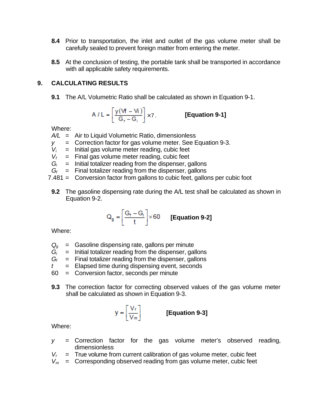- **8.4** Prior to transportation, the inlet and outlet of the gas volume meter shall be carefully sealed to prevent foreign matter from entering the meter.
- **8.5** At the conclusion of testing, the portable tank shall be transported in accordance with all applicable safety requirements.

# **9. CALCULATING RESULTS**

**9.1** The A/L Volumetric Ratio shall be calculated as shown in Equation 9-1.

$$
A / L = \left[ \frac{y (Vf - Vi)}{G_f - G_i} \right] \times 7.
$$
 [Equation 9-1]

Where:

*A/L* = Air to Liquid Volumetric Ratio, dimensionless

- *y* = Correction factor for gas volume meter. See Equation 9-3.
- $V_i$  = Initial gas volume meter reading, cubic feet
- $V_f$  = Final gas volume meter reading, cubic feet
- $G_i$  = Initial totalizer reading from the dispenser, gallons
- $G_f$  = Final totalizer reading from the dispenser, gallons
- 7.481 = Conversion factor from gallons to cubic feet, gallons per cubic foot
- **9.2** The gasoline dispensing rate during the A/L test shall be calculated as shown in Equation 9-2.

$$
Q_g = \left[\frac{G_t - G_i}{t}\right] \times 60 \qquad \text{[Equation 9-2]}
$$

Where:

- *Qg* = Gasoline dispensing rate, gallons per minute
- $G_i$  = Initial totalizer reading from the dispenser, gallons
- $G_f$  = Final totalizer reading from the dispenser, gallons
- *t* = Elapsed time during dispensing event, seconds
- 60 = Conversion factor, seconds per minute
- **9.3** The correction factor for correcting observed values of the gas volume meter shall be calculated as shown in Equation 9-3.

$$
y = \left[\frac{V_r}{V_m}\right]
$$

**[Equation 9-3]**

Where:

- *y* = Correction factor for the gas volume meter's observed reading, dimensionless
- $V_r$  = True volume from current calibration of gas volume meter, cubic feet
- $V_m$  = Corresponding observed reading from gas volume meter, cubic feet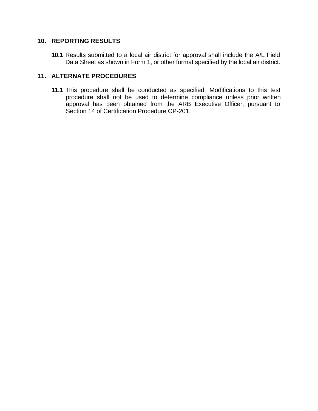### **10. REPORTING RESULTS**

**10.1** Results submitted to a local air district for approval shall include the A/L Field Data Sheet as shown in Form 1, or other format specified by the local air district.

# **11. ALTERNATE PROCEDURES**

**11.1** This procedure shall be conducted as specified. Modifications to this test procedure shall not be used to determine compliance unless prior written approval has been obtained from the ARB Executive Officer, pursuant to Section 14 of Certification Procedure CP-201.